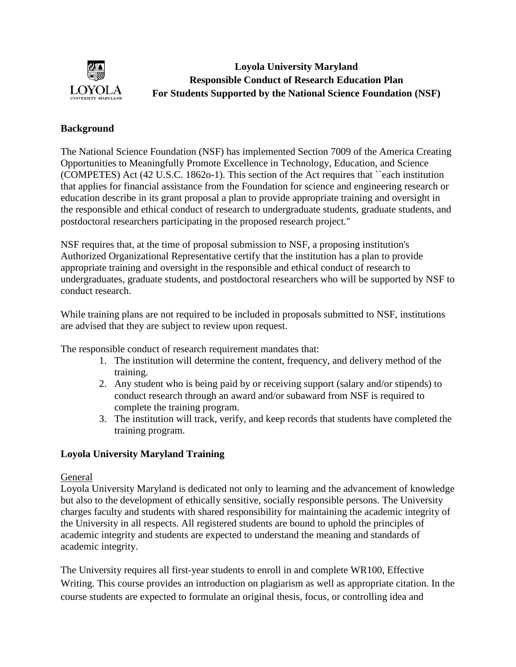

**Loyola University Maryland Responsible Conduct of Research Education Plan For Students Supported by the National Science Foundation (NSF)**

# **Background**

The National Science Foundation (NSF) has implemented Section 7009 of the America Creating Opportunities to Meaningfully Promote Excellence in Technology, Education, and Science (COMPETES) Act (42 U.S.C. 1862o-1). This section of the Act requires that ``each institution that applies for financial assistance from the Foundation for science and engineering research or education describe in its grant proposal a plan to provide appropriate training and oversight in the responsible and ethical conduct of research to undergraduate students, graduate students, and postdoctoral researchers participating in the proposed research project.''

NSF requires that, at the time of proposal submission to NSF, a proposing institution's Authorized Organizational Representative certify that the institution has a plan to provide appropriate training and oversight in the responsible and ethical conduct of research to undergraduates, graduate students, and postdoctoral researchers who will be supported by NSF to conduct research.

While training plans are not required to be included in proposals submitted to NSF, institutions are advised that they are subject to review upon request.

The responsible conduct of research requirement mandates that:

- 1. The institution will determine the content, frequency, and delivery method of the training.
- 2. Any student who is being paid by or receiving support (salary and/or stipends) to conduct research through an award and/or subaward from NSF is required to complete the training program.
- 3. The institution will track, verify, and keep records that students have completed the training program.

## **Loyola University Maryland Training**

#### General

Loyola University Maryland is dedicated not only to learning and the advancement of knowledge but also to the development of ethically sensitive, socially responsible persons. The University charges faculty and students with shared responsibility for maintaining the academic integrity of the University in all respects. All registered students are bound to uphold the principles of academic integrity and students are expected to understand the meaning and standards of academic integrity.

The University requires all first-year students to enroll in and complete WR100, Effective Writing. This course provides an introduction on plagiarism as well as appropriate citation. In the course students are expected to formulate an original thesis, focus, or controlling idea and